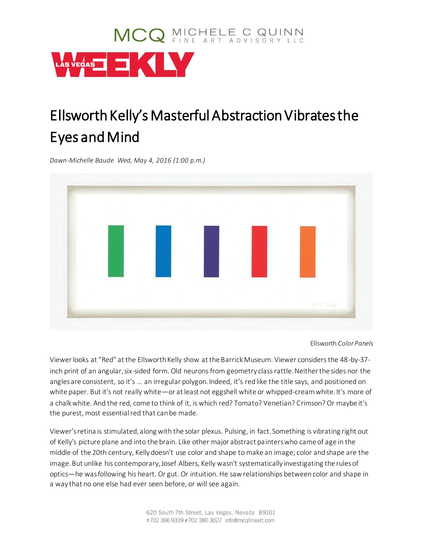

## Ellsworth Kelly's Masterful Abstraction Vibrates the Eyes and Mind

*Dawn-Michelle Baude Wed, May 4, 2016 (1:00 p.m.)*



Ellsworth *Color Panels*

Viewer looks at "Red" at the Ellsworth Kelly show at the Barrick Museum. Viewer considers the 48-by-37 inch print of an angular, six-sided form. Old neurons from geometry class rattle. Neither the sides nor the angles are consistent, so it's ... an irregular polygon. Indeed, it's red like the title says, and positioned on white paper. But it's not really white—or at least not eggshell white or whipped-cream white. It's more of a chalk white. And the red, come to think of it, is which red? Tomato? Venetian? Crimson? Or maybe it's the purest, most essential red that can be made.

Viewer's retina is stimulated, along with the solar plexus. Pulsing, in fact. Something is vibrating right out of Kelly's picture plane and into the brain. Like other major abstract painters who came of age in the middle of the 20th century, Kelly doesn't use color and shape to make an image; color and shape are the image. But unlike his contemporary, Josef Albers, Kelly wasn't systematically investigating the rules of optics—he was following his heart. Or gut. Or intuition. He saw relationships between color and shape in a way that no one else had ever seen before, or will see again.